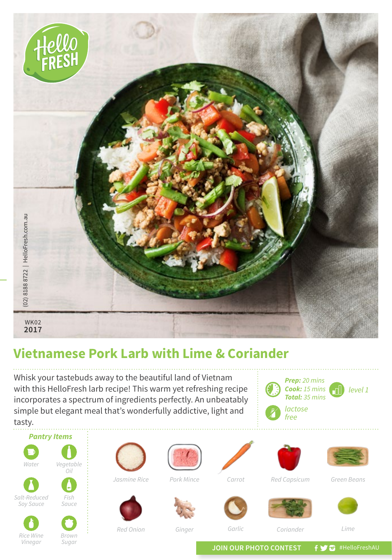

## **Vietnamese Pork Larb with Lime & Coriander**

Whisk your tastebuds away to the beautiful land of Vietnam with this HelloFresh larb recipe! This warm yet refreshing recipe incorporates a spectrum of ingredients perfectly. An unbeatably simple but elegant meal that's wonderfully addictive, light and







*Brown Sugar*

*Red Onion Garlic*



*Ginger*



*Coriander*



*Lime*

JOIN OUR PHOTO CONTEST **f y a** #HelloFreshAU